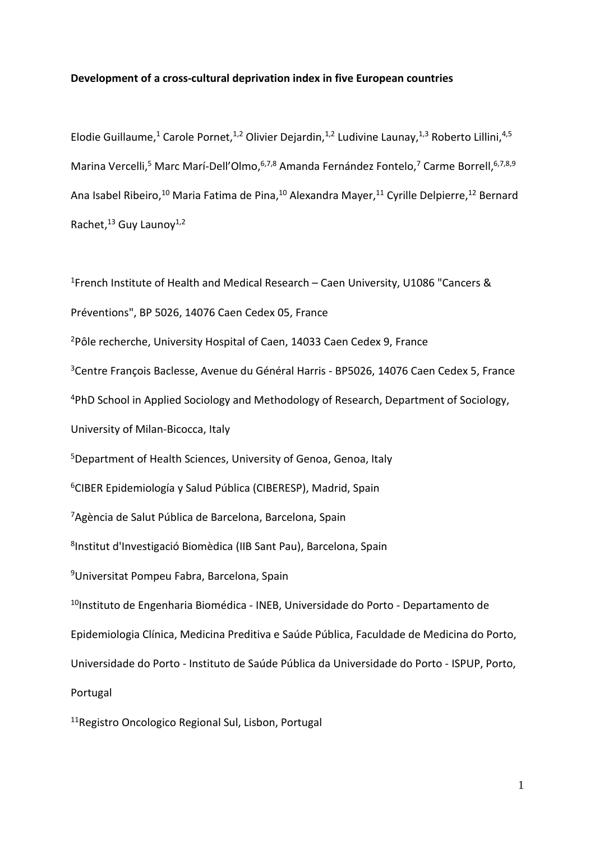### **Development of a cross-cultural deprivation index in five European countries**

Elodie Guillaume,<sup>1</sup> Carole Pornet,<sup>1,2</sup> Olivier Dejardin,<sup>1,2</sup> Ludivine Launay,<sup>1,3</sup> Roberto Lillini,<sup>4,5</sup> Marina Vercelli,<sup>5</sup> Marc Marí-Dell'Olmo, 6,7,8 Amanda Fernández Fontelo,<sup>7</sup> Carme Borrell, 6,7,8,9 Ana Isabel Ribeiro,<sup>10</sup> Maria Fatima de Pina,<sup>10</sup> Alexandra Mayer,<sup>11</sup> Cyrille Delpierre,<sup>12</sup> Bernard Rachet,<sup>13</sup> Guy Launoy<sup>1,2</sup>

<sup>1</sup>French Institute of Health and Medical Research – Caen University, U1086 "Cancers & Préventions", BP 5026, 14076 Caen Cedex 05, France <sup>2</sup>Pôle recherche, University Hospital of Caen, 14033 Caen Cedex 9, France <sup>3</sup>Centre François Baclesse, Avenue du Général Harris - BP5026, 14076 Caen Cedex 5, France <sup>4</sup>PhD School in Applied Sociology and Methodology of Research, Department of Sociology, University of Milan-Bicocca, Italy <sup>5</sup>Department of Health Sciences, University of Genoa, Genoa, Italy <sup>6</sup>CIBER Epidemiología y Salud Pública (CIBERESP), Madrid, Spain <sup>7</sup>Agència de Salut Pública de Barcelona, Barcelona, Spain 8 Institut d'Investigació Biomèdica (IIB Sant Pau), Barcelona, Spain <sup>9</sup>Universitat Pompeu Fabra, Barcelona, Spain <sup>10</sup>Instituto de Engenharia Biomédica - INEB, Universidade do Porto - Departamento de Epidemiologia Clínica, Medicina Preditiva e Saúde Pública, Faculdade de Medicina do Porto, Universidade do Porto - Instituto de Saúde Pública da Universidade do Porto - ISPUP, Porto, Portugal

11Registro Oncologico Regional Sul, Lisbon, Portugal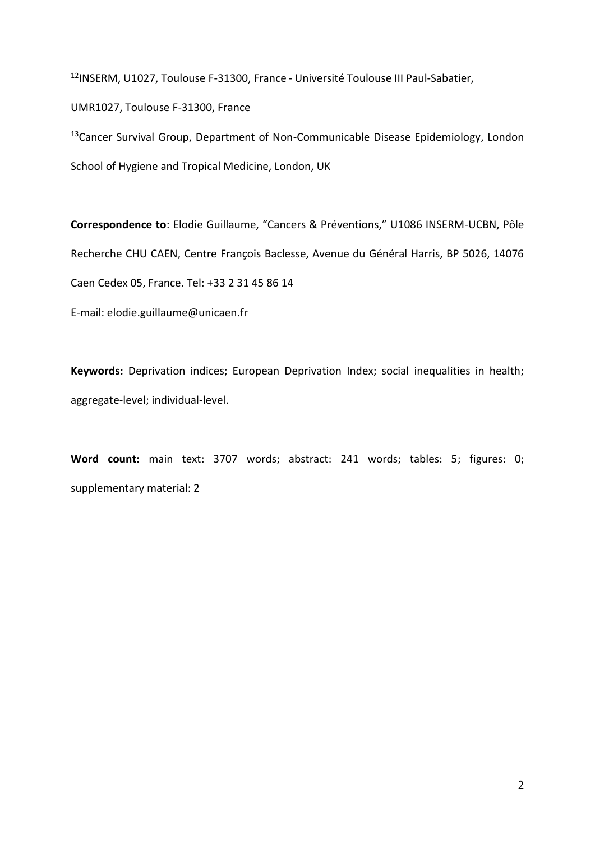<sup>12</sup>INSERM, U1027, Toulouse F-31300, France - Université Toulouse III Paul-Sabatier,

UMR1027, Toulouse F-31300, France

<sup>13</sup>Cancer Survival Group, Department of Non-Communicable Disease Epidemiology, London School of Hygiene and Tropical Medicine, London, UK

**Correspondence to**: Elodie Guillaume, "Cancers & Préventions," U1086 INSERM-UCBN, Pôle Recherche CHU CAEN, Centre François Baclesse, Avenue du Général Harris, BP 5026, 14076 Caen Cedex 05, France. Tel: +33 2 31 45 86 14

E-mail: elodie.guillaume@unicaen.fr

**Keywords:** Deprivation indices; European Deprivation Index; social inequalities in health; aggregate-level; individual-level.

**Word count:** main text: 3707 words; abstract: 241 words; tables: 5; figures: 0; supplementary material: 2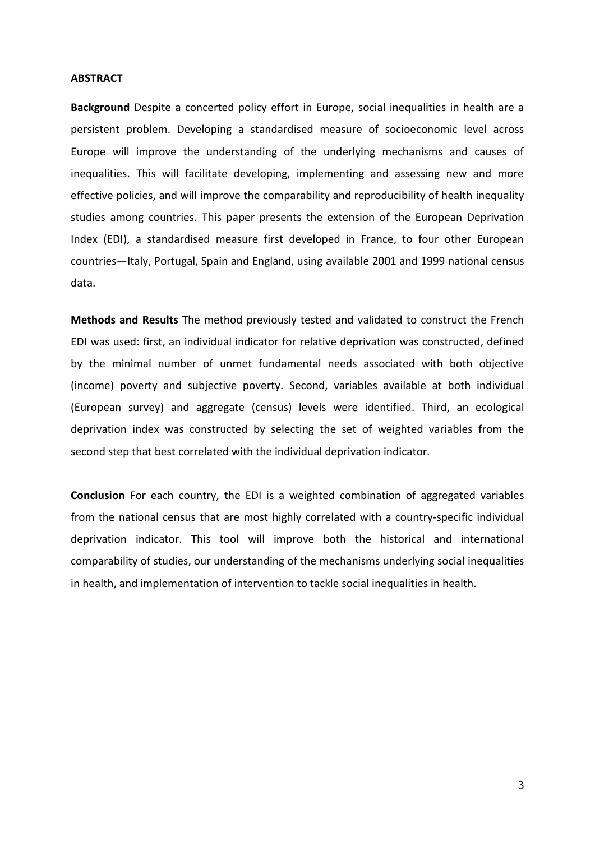#### **ABSTRACT**

**Background** Despite a concerted policy effort in Europe, social inequalities in health are a persistent problem. Developing a standardised measure of socioeconomic level across Europe will improve the understanding of the underlying mechanisms and causes of inequalities. This will facilitate developing, implementing and assessing new and more effective policies, and will improve the comparability and reproducibility of health inequality studies among countries. This paper presents the extension of the European Deprivation Index (EDI), a standardised measure first developed in France, to four other European countries—Italy, Portugal, Spain and England, using available 2001 and 1999 national census data.

**Methods and Results** The method previously tested and validated to construct the French EDI was used: first, an individual indicator for relative deprivation was constructed, defined by the minimal number of unmet fundamental needs associated with both objective (income) poverty and subjective poverty. Second, variables available at both individual (European survey) and aggregate (census) levels were identified. Third, an ecological deprivation index was constructed by selecting the set of weighted variables from the second step that best correlated with the individual deprivation indicator.

**Conclusion** For each country, the EDI is a weighted combination of aggregated variables from the national census that are most highly correlated with a country-specific individual deprivation indicator. This tool will improve both the historical and international comparability of studies, our understanding of the mechanisms underlying social inequalities in health, and implementation of intervention to tackle social inequalities in health.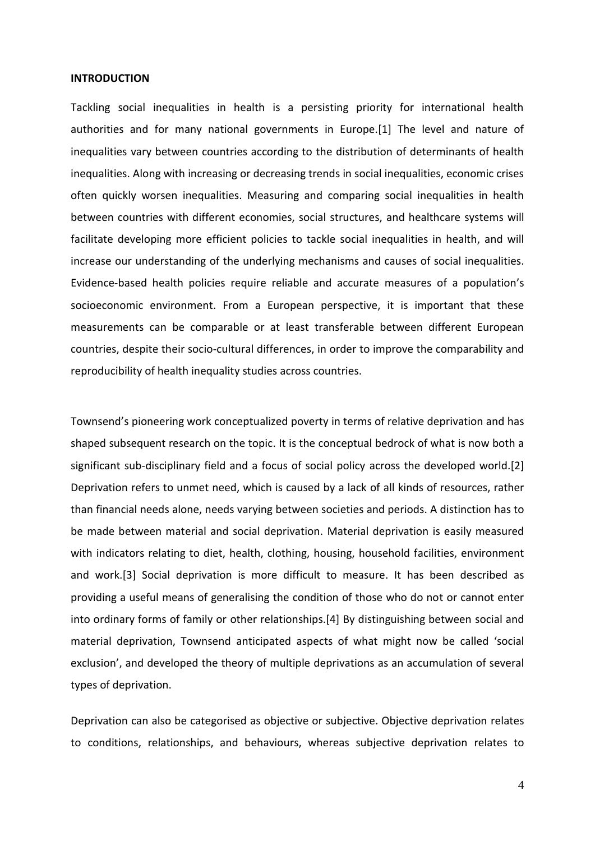#### **INTRODUCTION**

Tackling social inequalities in health is a persisting priority for international health authorities and for many national governments in Europe.[1] The level and nature of inequalities vary between countries according to the distribution of determinants of health inequalities. Along with increasing or decreasing trends in social inequalities, economic crises often quickly worsen inequalities. Measuring and comparing social inequalities in health between countries with different economies, social structures, and healthcare systems will facilitate developing more efficient policies to tackle social inequalities in health, and will increase our understanding of the underlying mechanisms and causes of social inequalities. Evidence-based health policies require reliable and accurate measures of a population's socioeconomic environment. From a European perspective, it is important that these measurements can be comparable or at least transferable between different European countries, despite their socio-cultural differences, in order to improve the comparability and reproducibility of health inequality studies across countries.

Townsend's pioneering work conceptualized poverty in terms of relative deprivation and has shaped subsequent research on the topic. It is the conceptual bedrock of what is now both a significant sub-disciplinary field and a focus of social policy across the developed world.[2] Deprivation refers to unmet need, which is caused by a lack of all kinds of resources, rather than financial needs alone, needs varying between societies and periods. A distinction has to be made between material and social deprivation. Material deprivation is easily measured with indicators relating to diet, health, clothing, housing, household facilities, environment and work.[3] Social deprivation is more difficult to measure. It has been described as providing a useful means of generalising the condition of those who do not or cannot enter into ordinary forms of family or other relationships.[4] By distinguishing between social and material deprivation, Townsend anticipated aspects of what might now be called 'social exclusion', and developed the theory of multiple deprivations as an accumulation of several types of deprivation.

Deprivation can also be categorised as objective or subjective. Objective deprivation relates to conditions, relationships, and behaviours, whereas subjective deprivation relates to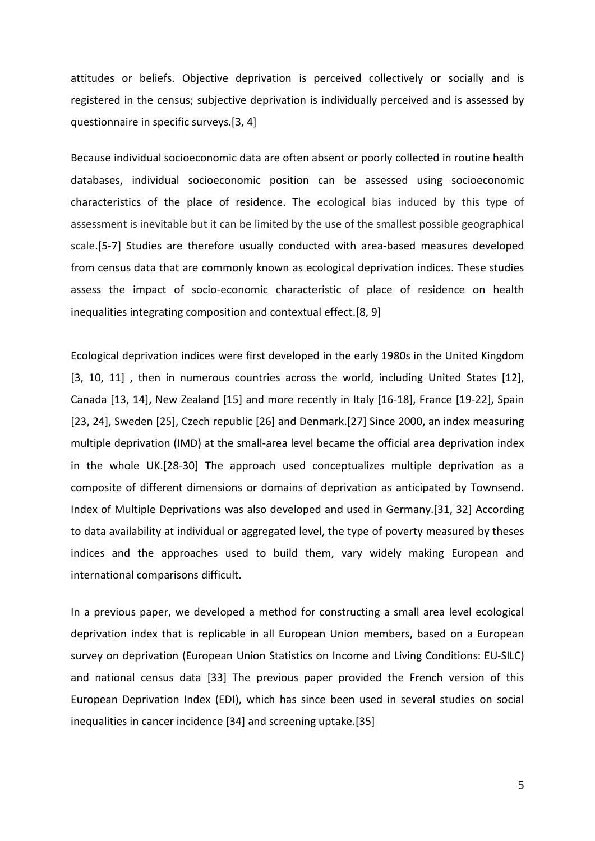attitudes or beliefs. Objective deprivation is perceived collectively or socially and is registered in the census; subjective deprivation is individually perceived and is assessed by questionnaire in specific surveys.[3, 4]

Because individual socioeconomic data are often absent or poorly collected in routine health databases, individual socioeconomic position can be assessed using socioeconomic characteristics of the place of residence. The ecological bias induced by this type of assessment is inevitable but it can be limited by the use of the smallest possible geographical scale.[5-7] Studies are therefore usually conducted with area-based measures developed from census data that are commonly known as ecological deprivation indices. These studies assess the impact of socio-economic characteristic of place of residence on health inequalities integrating composition and contextual effect.[8, 9]

Ecological deprivation indices were first developed in the early 1980s in the United Kingdom [3, 10, 11], then in numerous countries across the world, including United States [12], Canada [13, 14], New Zealand [15] and more recently in Italy [16-18], France [19-22], Spain [23, 24], Sweden [25], Czech republic [26] and Denmark.[27] Since 2000, an index measuring multiple deprivation (IMD) at the small-area level became the official area deprivation index in the whole UK.[28-30] The approach used conceptualizes multiple deprivation as a composite of different dimensions or domains of deprivation as anticipated by Townsend. Index of Multiple Deprivations was also developed and used in Germany.[31, 32] According to data availability at individual or aggregated level, the type of poverty measured by theses indices and the approaches used to build them, vary widely making European and international comparisons difficult.

In a previous paper, we developed a method for constructing a small area level ecological deprivation index that is replicable in all European Union members, based on a European survey on deprivation (European Union Statistics on Income and Living Conditions: EU-SILC) and national census data [33] The previous paper provided the French version of this European Deprivation Index (EDI), which has since been used in several studies on social inequalities in cancer incidence [34] and screening uptake.[35]

5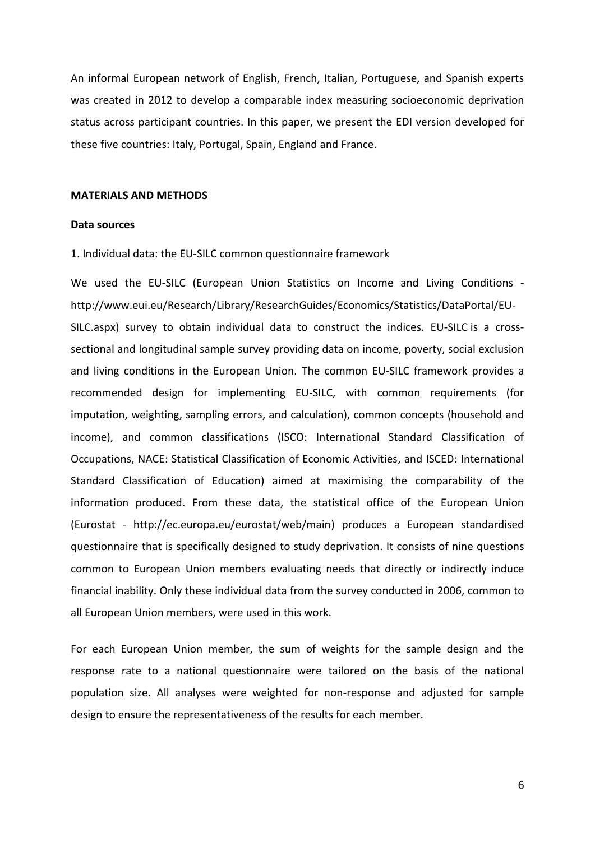An informal European network of English, French, Italian, Portuguese, and Spanish experts was created in 2012 to develop a comparable index measuring socioeconomic deprivation status across participant countries. In this paper, we present the EDI version developed for these five countries: Italy, Portugal, Spain, England and France.

#### **MATERIALS AND METHODS**

### **Data sources**

1. Individual data: the EU-SILC common questionnaire framework

We used the EU-SILC (European Union Statistics on Income and Living Conditions http://www.eui.eu/Research/Library/ResearchGuides/Economics/Statistics/DataPortal/EU-SILC.aspx) survey to obtain individual data to construct the indices. EU-SILC is a crosssectional and longitudinal sample survey providing data on income, poverty, social exclusion and living conditions in the European Union. The common EU-SILC framework provides a recommended design for implementing EU-SILC, with common requirements (for imputation, weighting, sampling errors, and calculation), common concepts (household and income), and common classifications (ISCO: International Standard Classification of Occupations, NACE: Statistical Classification of Economic Activities, and ISCED: International Standard Classification of Education) aimed at maximising the comparability of the information produced. From these data, the statistical office of the European Union (Eurostat - http://ec.europa.eu/eurostat/web/main) produces a European standardised questionnaire that is specifically designed to study deprivation. It consists of nine questions common to European Union members evaluating needs that directly or indirectly induce financial inability. Only these individual data from the survey conducted in 2006, common to all European Union members, were used in this work.

For each European Union member, the sum of weights for the sample design and the response rate to a national questionnaire were tailored on the basis of the national population size. All analyses were weighted for non-response and adjusted for sample design to ensure the representativeness of the results for each member.

6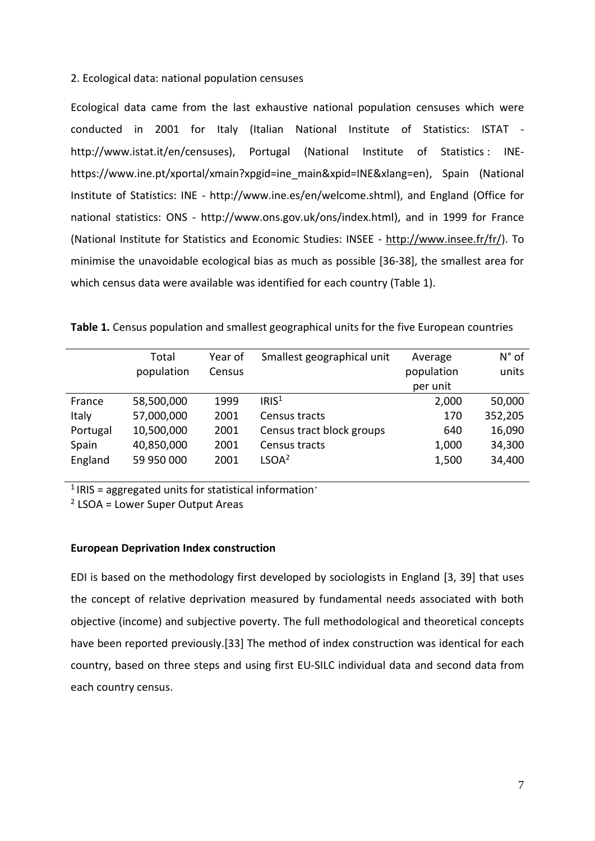2. Ecological data: national population censuses

Ecological data came from the last exhaustive national population censuses which were conducted in 2001 for Italy (Italian National Institute of Statistics: ISTAT http://www.istat.it/en/censuses), Portugal (National Institute of Statistics : INEhttps://www.ine.pt/xportal/xmain?xpgid=ine\_main&xpid=INE&xlang=en), Spain (National Institute of Statistics: INE - http://www.ine.es/en/welcome.shtml), and England (Office for national statistics: ONS - http://www.ons.gov.uk/ons/index.html), and in 1999 for France (National Institute for Statistics and Economic Studies: INSEE - [http://www.insee.fr/fr/\)](http://www.insee.fr/fr/). To minimise the unavoidable ecological bias as much as possible [36-38], the smallest area for which census data were available was identified for each country (Table 1).

|          | Total      | Year of | Smallest geographical unit | Average    | $N^{\circ}$ of |
|----------|------------|---------|----------------------------|------------|----------------|
|          | population | Census  |                            | population | units          |
|          |            |         |                            | per unit   |                |
| France   | 58,500,000 | 1999    | IRIS <sup>1</sup>          | 2,000      | 50,000         |
| Italy    | 57,000,000 | 2001    | Census tracts              | 170        | 352,205        |
| Portugal | 10,500,000 | 2001    | Census tract block groups  | 640        | 16,090         |
| Spain    | 40,850,000 | 2001    | Census tracts              | 1,000      | 34,300         |
| England  | 59 950 000 | 2001    | LSOA <sup>2</sup>          | 1,500      | 34,400         |
|          |            |         |                            |            |                |

**Table 1.** Census population and smallest geographical units for the five European countries

 $1$  IRIS = aggregated units for statistical information'

<sup>2</sup> LSOA = Lower Super Output Areas

### **European Deprivation Index construction**

EDI is based on the methodology first developed by sociologists in England [3, 39] that uses the concept of relative deprivation measured by fundamental needs associated with both objective (income) and subjective poverty. The full methodological and theoretical concepts have been reported previously.[33] The method of index construction was identical for each country, based on three steps and using first EU-SILC individual data and second data from each country census.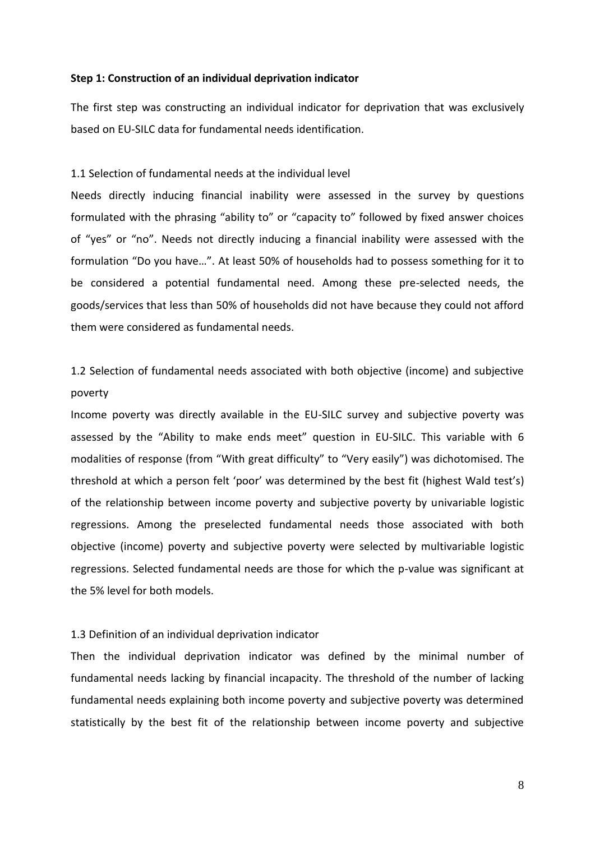### **Step 1: Construction of an individual deprivation indicator**

The first step was constructing an individual indicator for deprivation that was exclusively based on EU-SILC data for fundamental needs identification.

### 1.1 Selection of fundamental needs at the individual level

Needs directly inducing financial inability were assessed in the survey by questions formulated with the phrasing "ability to" or "capacity to" followed by fixed answer choices of "yes" or "no". Needs not directly inducing a financial inability were assessed with the formulation "Do you have…". At least 50% of households had to possess something for it to be considered a potential fundamental need. Among these pre-selected needs, the goods/services that less than 50% of households did not have because they could not afford them were considered as fundamental needs.

1.2 Selection of fundamental needs associated with both objective (income) and subjective poverty

Income poverty was directly available in the EU-SILC survey and subjective poverty was assessed by the "Ability to make ends meet" question in EU-SILC. This variable with 6 modalities of response (from "With great difficulty" to "Very easily") was dichotomised. The threshold at which a person felt 'poor' was determined by the best fit (highest Wald test's) of the relationship between income poverty and subjective poverty by univariable logistic regressions. Among the preselected fundamental needs those associated with both objective (income) poverty and subjective poverty were selected by multivariable logistic regressions. Selected fundamental needs are those for which the p-value was significant at the 5% level for both models.

### 1.3 Definition of an individual deprivation indicator

Then the individual deprivation indicator was defined by the minimal number of fundamental needs lacking by financial incapacity. The threshold of the number of lacking fundamental needs explaining both income poverty and subjective poverty was determined statistically by the best fit of the relationship between income poverty and subjective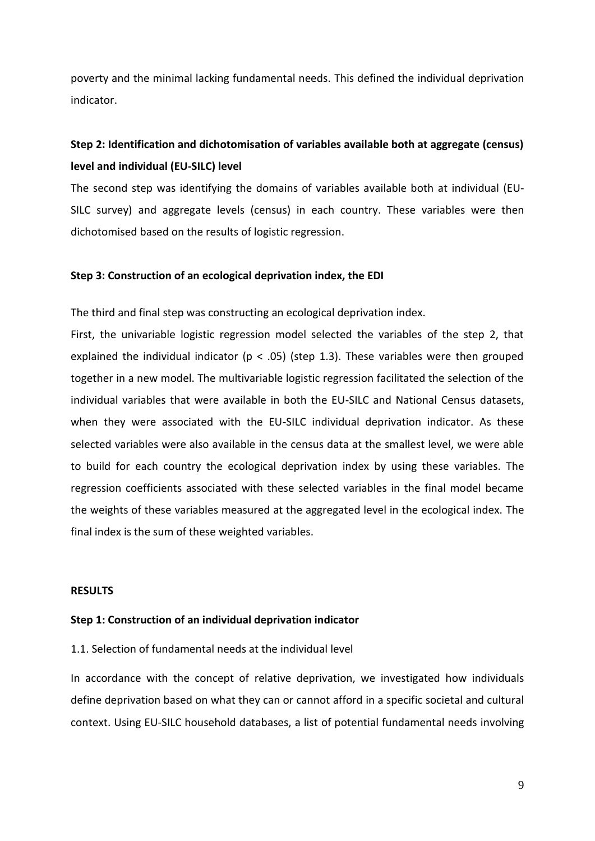poverty and the minimal lacking fundamental needs. This defined the individual deprivation indicator.

# **Step 2: Identification and dichotomisation of variables available both at aggregate (census) level and individual (EU-SILC) level**

The second step was identifying the domains of variables available both at individual (EU-SILC survey) and aggregate levels (census) in each country. These variables were then dichotomised based on the results of logistic regression.

### **Step 3: Construction of an ecological deprivation index, the EDI**

The third and final step was constructing an ecological deprivation index.

First, the univariable logistic regression model selected the variables of the step 2, that explained the individual indicator ( $p < .05$ ) (step 1.3). These variables were then grouped together in a new model. The multivariable logistic regression facilitated the selection of the individual variables that were available in both the EU-SILC and National Census datasets, when they were associated with the EU-SILC individual deprivation indicator. As these selected variables were also available in the census data at the smallest level, we were able to build for each country the ecological deprivation index by using these variables. The regression coefficients associated with these selected variables in the final model became the weights of these variables measured at the aggregated level in the ecological index. The final index is the sum of these weighted variables.

### **RESULTS**

### **Step 1: Construction of an individual deprivation indicator**

1.1. Selection of fundamental needs at the individual level

In accordance with the concept of relative deprivation, we investigated how individuals define deprivation based on what they can or cannot afford in a specific societal and cultural context. Using EU-SILC household databases, a list of potential fundamental needs involving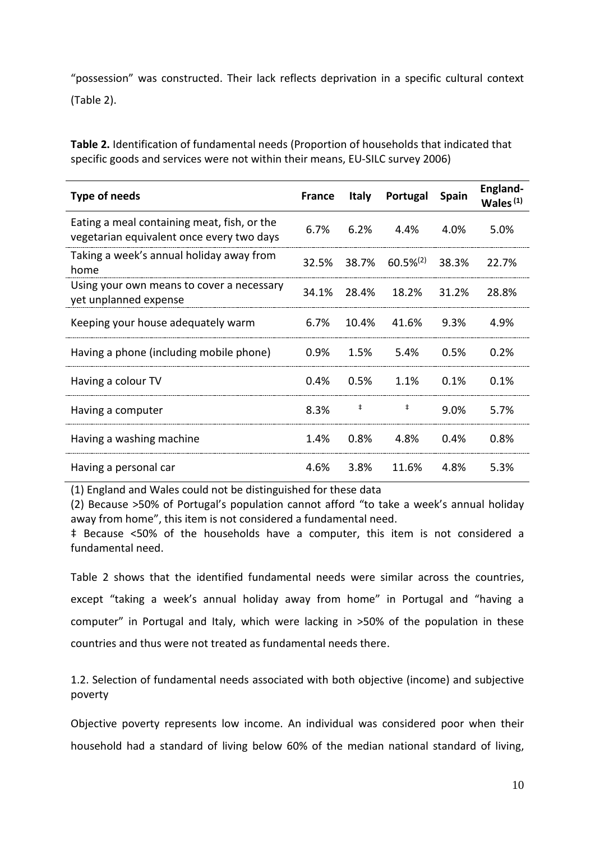"possession" was constructed. Their lack reflects deprivation in a specific cultural context (Table 2).

**Table 2.** Identification of fundamental needs (Proportion of households that indicated that specific goods and services were not within their means, EU-SILC survey 2006)

| Type of needs                                                                            | <b>France</b> | <b>Italy</b> | Portugal       | <b>Spain</b> | England-<br>Wales $(1)$ |
|------------------------------------------------------------------------------------------|---------------|--------------|----------------|--------------|-------------------------|
| Eating a meal containing meat, fish, or the<br>vegetarian equivalent once every two days | 6.7%          | 6.2%         | 4.4%           | 4.0%         | 5.0%                    |
| Taking a week's annual holiday away from<br>home                                         | 32.5%         | 38.7%        | $60.5\%^{(2)}$ | 38.3%        | 22.7%                   |
| Using your own means to cover a necessary<br>yet unplanned expense                       | 34.1%         | 28.4%        | 18.2%          | 31.2%        | 28.8%                   |
| Keeping your house adequately warm                                                       | $6.7\%$       | 10.4%        | 41.6%          | 9.3%         | 4.9%                    |
| Having a phone (including mobile phone)                                                  | 0.9%          | 1.5%         | 5.4%           | 0.5%         | 0.2%                    |
| Having a colour TV                                                                       | 0.4%          | 0.5%         | 1.1%           | 0.1%         | 0.1%                    |
| Having a computer                                                                        | 8.3%          | ŧ            | $\ddagger$     | 9.0%         | 5.7%                    |
| Having a washing machine                                                                 | 1.4%          | 0.8%         | 4.8%           | 0.4%         | 0.8%                    |
| Having a personal car                                                                    | 4.6%          | 3.8%         | 11.6%          | 4.8%         | 5.3%                    |

(1) England and Wales could not be distinguished for these data

(2) Because >50% of Portugal's population cannot afford "to take a week's annual holiday away from home", this item is not considered a fundamental need.

‡ Because <50% of the households have a computer, this item is not considered a fundamental need.

Table 2 shows that the identified fundamental needs were similar across the countries, except "taking a week's annual holiday away from home" in Portugal and "having a computer" in Portugal and Italy, which were lacking in >50% of the population in these countries and thus were not treated as fundamental needs there.

1.2. Selection of fundamental needs associated with both objective (income) and subjective poverty

Objective poverty represents low income. An individual was considered poor when their household had a standard of living below 60% of the median national standard of living,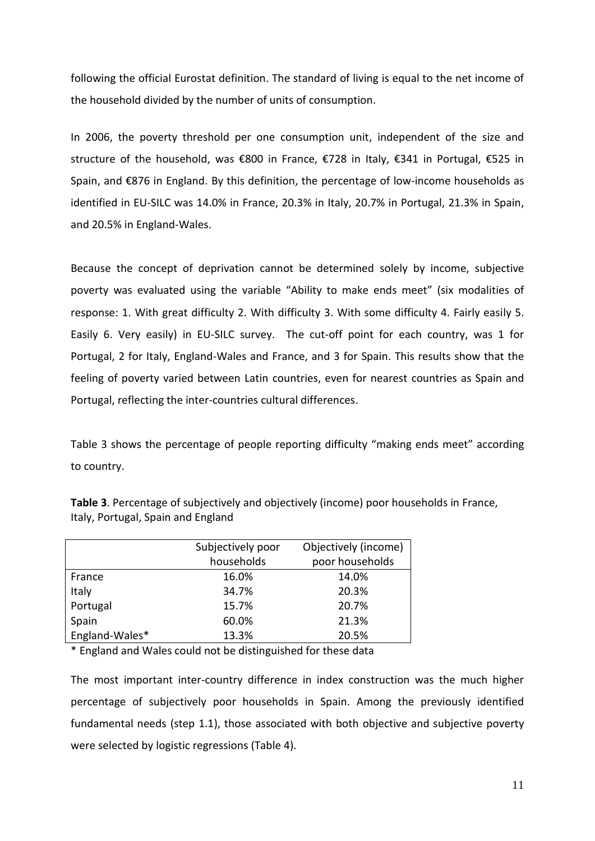following the official Eurostat definition. The standard of living is equal to the net income of the household divided by the number of units of consumption.

In 2006, the poverty threshold per one consumption unit, independent of the size and structure of the household, was €800 in France, €728 in Italy, €341 in Portugal, €525 in Spain, and €876 in England. By this definition, the percentage of low-income households as identified in EU-SILC was 14.0% in France, 20.3% in Italy, 20.7% in Portugal, 21.3% in Spain, and 20.5% in England-Wales.

Because the concept of deprivation cannot be determined solely by income, subjective poverty was evaluated using the variable "Ability to make ends meet" (six modalities of response: 1. With great difficulty 2. With difficulty 3. With some difficulty 4. Fairly easily 5. Easily 6. Very easily) in EU-SILC survey. The cut-off point for each country, was 1 for Portugal, 2 for Italy, England-Wales and France, and 3 for Spain. This results show that the feeling of poverty varied between Latin countries, even for nearest countries as Spain and Portugal, reflecting the inter-countries cultural differences.

Table 3 shows the percentage of people reporting difficulty "making ends meet" according to country.

|                | Subjectively poor | Objectively (income) |
|----------------|-------------------|----------------------|
|                | households        | poor households      |
| France         | 16.0%             | 14.0%                |
| Italy          | 34.7%             | 20.3%                |
| Portugal       | 15.7%             | 20.7%                |
| Spain          | 60.0%             | 21.3%                |
| England-Wales* | 13.3%             | 20.5%                |

**Table 3**. Percentage of subjectively and objectively (income) poor households in France, Italy, Portugal, Spain and England

\* England and Wales could not be distinguished for these data

The most important inter-country difference in index construction was the much higher percentage of subjectively poor households in Spain. Among the previously identified fundamental needs (step 1.1), those associated with both objective and subjective poverty were selected by logistic regressions (Table 4).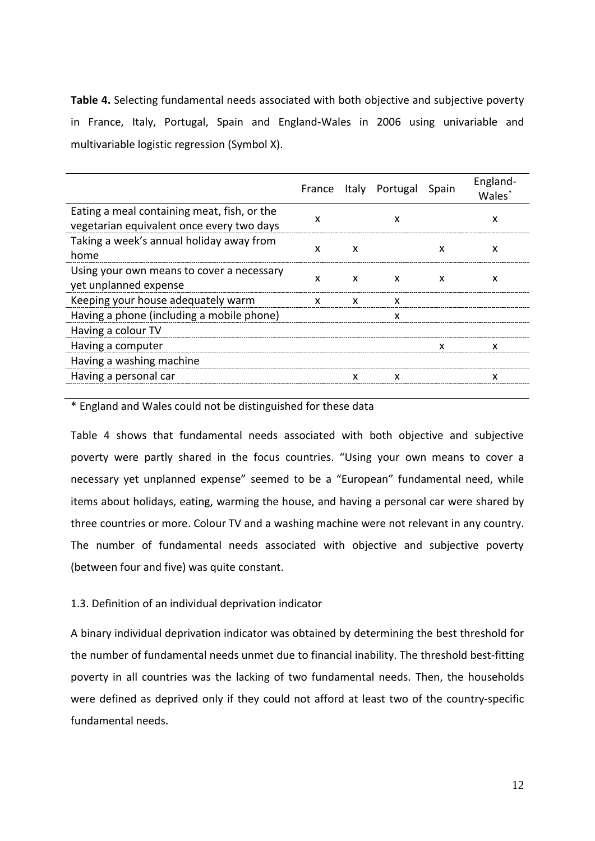**Table 4.** Selecting fundamental needs associated with both objective and subjective poverty in France, Italy, Portugal, Spain and England-Wales in 2006 using univariable and multivariable logistic regression (Symbol X).

|                                                                                          |   |   | France Italy Portugal Spain |   | England-<br>Wales <sup>*</sup> |
|------------------------------------------------------------------------------------------|---|---|-----------------------------|---|--------------------------------|
| Eating a meal containing meat, fish, or the<br>vegetarian equivalent once every two days | X |   | x                           |   | x                              |
| Taking a week's annual holiday away from<br>home                                         | x | X |                             | x | x                              |
| Using your own means to cover a necessary<br>yet unplanned expense                       | x | X | X                           | x | x                              |
| Keeping your house adequately warm                                                       | x | x | x                           |   |                                |
| Having a phone (including a mobile phone)                                                |   |   |                             |   |                                |
| Having a colour TV                                                                       |   |   |                             |   |                                |
| Having a computer                                                                        |   |   |                             |   |                                |
| Having a washing machine                                                                 |   |   |                             |   |                                |
| Having a personal car                                                                    |   |   | x                           |   |                                |
|                                                                                          |   |   |                             |   |                                |

\* England and Wales could not be distinguished for these data

Table 4 shows that fundamental needs associated with both objective and subjective poverty were partly shared in the focus countries. "Using your own means to cover a necessary yet unplanned expense" seemed to be a "European" fundamental need, while items about holidays, eating, warming the house, and having a personal car were shared by three countries or more. Colour TV and a washing machine were not relevant in any country. The number of fundamental needs associated with objective and subjective poverty (between four and five) was quite constant.

## 1.3. Definition of an individual deprivation indicator

A binary individual deprivation indicator was obtained by determining the best threshold for the number of fundamental needs unmet due to financial inability. The threshold best-fitting poverty in all countries was the lacking of two fundamental needs. Then, the households were defined as deprived only if they could not afford at least two of the country-specific fundamental needs.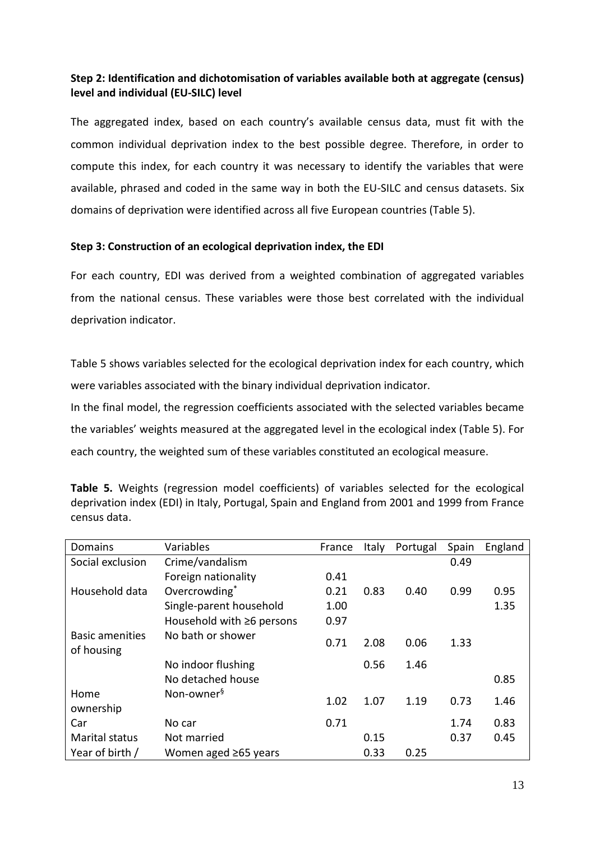## **Step 2: Identification and dichotomisation of variables available both at aggregate (census) level and individual (EU-SILC) level**

The aggregated index, based on each country's available census data, must fit with the common individual deprivation index to the best possible degree. Therefore, in order to compute this index, for each country it was necessary to identify the variables that were available, phrased and coded in the same way in both the EU-SILC and census datasets. Six domains of deprivation were identified across all five European countries (Table 5).

## **Step 3: Construction of an ecological deprivation index, the EDI**

For each country, EDI was derived from a weighted combination of aggregated variables from the national census. These variables were those best correlated with the individual deprivation indicator.

Table 5 shows variables selected for the ecological deprivation index for each country, which were variables associated with the binary individual deprivation indicator.

In the final model, the regression coefficients associated with the selected variables became the variables' weights measured at the aggregated level in the ecological index (Table 5). For each country, the weighted sum of these variables constituted an ecological measure.

| Domains                              | Variables                  | France | Italy | Portugal | Spain | England |
|--------------------------------------|----------------------------|--------|-------|----------|-------|---------|
| Social exclusion                     | Crime/vandalism            |        |       |          | 0.49  |         |
|                                      | Foreign nationality        | 0.41   |       |          |       |         |
| Household data                       | Overcrowding*              | 0.21   | 0.83  | 0.40     | 0.99  | 0.95    |
|                                      | Single-parent household    | 1.00   |       |          |       | 1.35    |
|                                      | Household with ≥6 persons  | 0.97   |       |          |       |         |
| <b>Basic amenities</b><br>of housing | No bath or shower          | 0.71   | 2.08  | 0.06     | 1.33  |         |
|                                      | No indoor flushing         |        | 0.56  | 1.46     |       |         |
|                                      | No detached house          |        |       |          |       | 0.85    |
| Home                                 | Non-owner <sup>§</sup>     | 1.02   | 1.07  | 1.19     | 0.73  | 1.46    |
| ownership                            |                            |        |       |          |       |         |
| Car                                  | No car                     | 0.71   |       |          | 1.74  | 0.83    |
| <b>Marital status</b>                | Not married                |        | 0.15  |          | 0.37  | 0.45    |
| Year of birth /                      | Women aged $\geq 65$ years |        | 0.33  | 0.25     |       |         |

**Table 5.** Weights (regression model coefficients) of variables selected for the ecological deprivation index (EDI) in Italy, Portugal, Spain and England from 2001 and 1999 from France census data.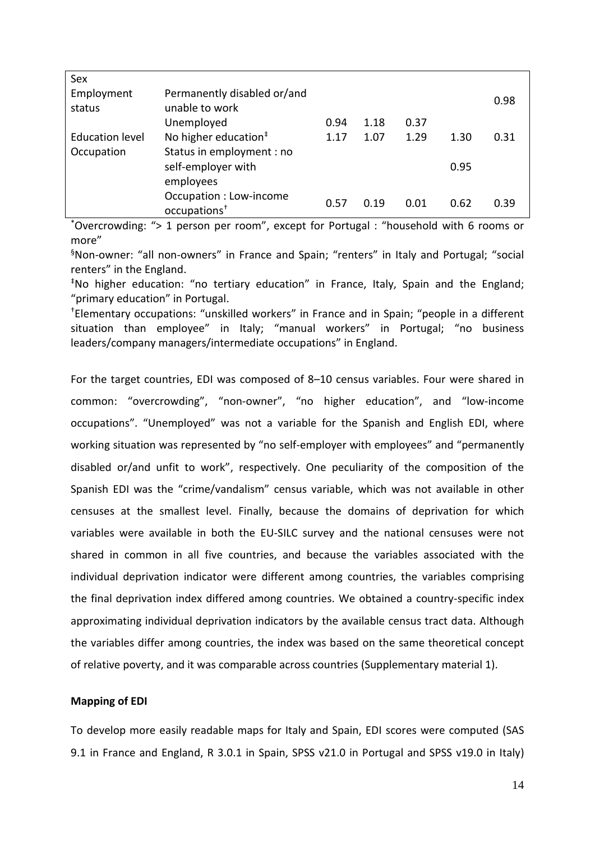| Sex                  |                                                     |      |      |      |      |      |
|----------------------|-----------------------------------------------------|------|------|------|------|------|
| Employment<br>status | Permanently disabled or/and<br>unable to work       |      |      |      |      | 0.98 |
|                      | Unemployed                                          | 0.94 | 1.18 | 0.37 |      |      |
| Education level      | No higher education <sup>#</sup>                    | 1.17 | 1.07 | 1.29 | 1.30 | 0.31 |
| Occupation           | Status in employment : no                           |      |      |      |      |      |
|                      | self-employer with                                  |      |      |      | 0.95 |      |
|                      | employees                                           |      |      |      |      |      |
|                      | Occupation : Low-income<br>occupations <sup>+</sup> | 0.57 | 0.19 | 0.01 | 0.62 | 0.39 |

\*Overcrowding: "> 1 person per room", except for Portugal : "household with 6 rooms or more"

§Non-owner: "all non-owners" in France and Spain; "renters" in Italy and Portugal; "social renters" in the England.

‡No higher education: "no tertiary education" in France, Italy, Spain and the England; "primary education" in Portugal.

†Elementary occupations: "unskilled workers" in France and in Spain; "people in a different situation than employee" in Italy; "manual workers" in Portugal; "no business leaders/company managers/intermediate occupations" in England.

For the target countries, EDI was composed of 8–10 census variables. Four were shared in common: "overcrowding", "non-owner", "no higher education", and "low-income occupations". "Unemployed" was not a variable for the Spanish and English EDI, where working situation was represented by "no self-employer with employees" and "permanently disabled or/and unfit to work", respectively. One peculiarity of the composition of the Spanish EDI was the "crime/vandalism" census variable, which was not available in other censuses at the smallest level. Finally, because the domains of deprivation for which variables were available in both the EU-SILC survey and the national censuses were not shared in common in all five countries, and because the variables associated with the individual deprivation indicator were different among countries, the variables comprising the final deprivation index differed among countries. We obtained a country-specific index approximating individual deprivation indicators by the available census tract data. Although the variables differ among countries, the index was based on the same theoretical concept of relative poverty, and it was comparable across countries (Supplementary material 1).

### **Mapping of EDI**

To develop more easily readable maps for Italy and Spain, EDI scores were computed (SAS 9.1 in France and England, R 3.0.1 in Spain, SPSS v21.0 in Portugal and SPSS v19.0 in Italy)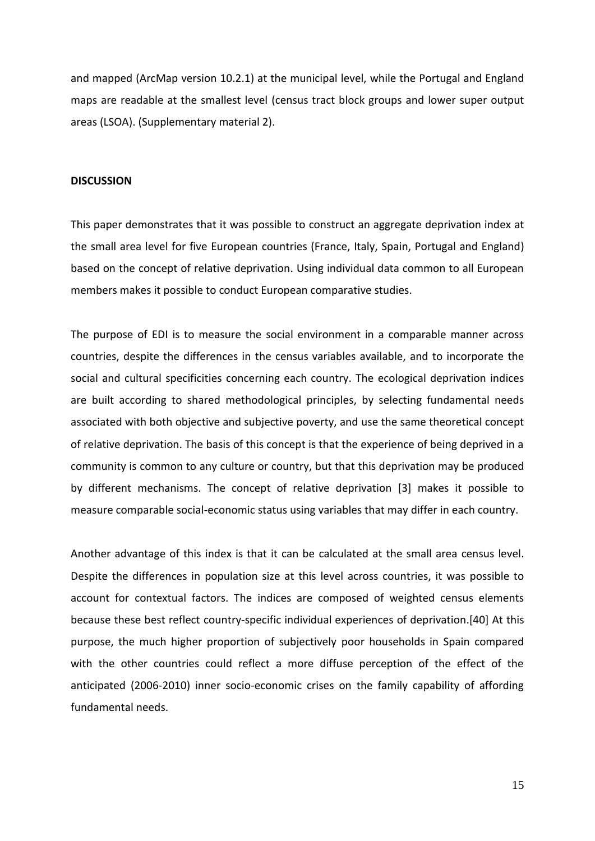and mapped (ArcMap version 10.2.1) at the municipal level, while the Portugal and England maps are readable at the smallest level (census tract block groups and lower super output areas (LSOA). (Supplementary material 2).

### **DISCUSSION**

This paper demonstrates that it was possible to construct an aggregate deprivation index at the small area level for five European countries (France, Italy, Spain, Portugal and England) based on the concept of relative deprivation. Using individual data common to all European members makes it possible to conduct European comparative studies.

The purpose of EDI is to measure the social environment in a comparable manner across countries, despite the differences in the census variables available, and to incorporate the social and cultural specificities concerning each country. The ecological deprivation indices are built according to shared methodological principles, by selecting fundamental needs associated with both objective and subjective poverty, and use the same theoretical concept of relative deprivation. The basis of this concept is that the experience of being deprived in a community is common to any culture or country, but that this deprivation may be produced by different mechanisms. The concept of relative deprivation [3] makes it possible to measure comparable social-economic status using variables that may differ in each country.

Another advantage of this index is that it can be calculated at the small area census level. Despite the differences in population size at this level across countries, it was possible to account for contextual factors. The indices are composed of weighted census elements because these best reflect country-specific individual experiences of deprivation.[40] At this purpose, the much higher proportion of subjectively poor households in Spain compared with the other countries could reflect a more diffuse perception of the effect of the anticipated (2006-2010) inner socio-economic crises on the family capability of affording fundamental needs.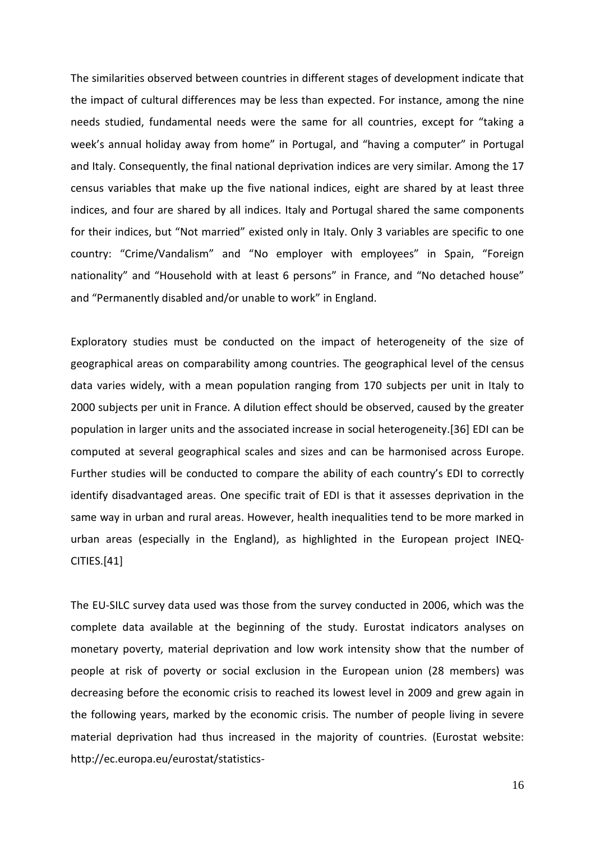The similarities observed between countries in different stages of development indicate that the impact of cultural differences may be less than expected. For instance, among the nine needs studied, fundamental needs were the same for all countries, except for "taking a week's annual holiday away from home" in Portugal, and "having a computer" in Portugal and Italy. Consequently, the final national deprivation indices are very similar. Among the 17 census variables that make up the five national indices, eight are shared by at least three indices, and four are shared by all indices. Italy and Portugal shared the same components for their indices, but "Not married" existed only in Italy. Only 3 variables are specific to one country: "Crime/Vandalism" and "No employer with employees" in Spain, "Foreign nationality" and "Household with at least 6 persons" in France, and "No detached house" and "Permanently disabled and/or unable to work" in England.

Exploratory studies must be conducted on the impact of heterogeneity of the size of geographical areas on comparability among countries. The geographical level of the census data varies widely, with a mean population ranging from 170 subjects per unit in Italy to 2000 subjects per unit in France. A dilution effect should be observed, caused by the greater population in larger units and the associated increase in social heterogeneity.[36] EDI can be computed at several geographical scales and sizes and can be harmonised across Europe. Further studies will be conducted to compare the ability of each country's EDI to correctly identify disadvantaged areas. One specific trait of EDI is that it assesses deprivation in the same way in urban and rural areas. However, health inequalities tend to be more marked in urban areas (especially in the England), as highlighted in the European project INEQ-CITIES.[41]

The EU-SILC survey data used was those from the survey conducted in 2006, which was the complete data available at the beginning of the study. Eurostat indicators analyses on monetary poverty, material deprivation and low work intensity show that the number of people at risk of poverty or social exclusion in the European union (28 members) was decreasing before the economic crisis to reached its lowest level in 2009 and grew again in the following years, marked by the economic crisis. The number of people living in severe material deprivation had thus increased in the majority of countries. (Eurostat website: http://ec.europa.eu/eurostat/statistics-

16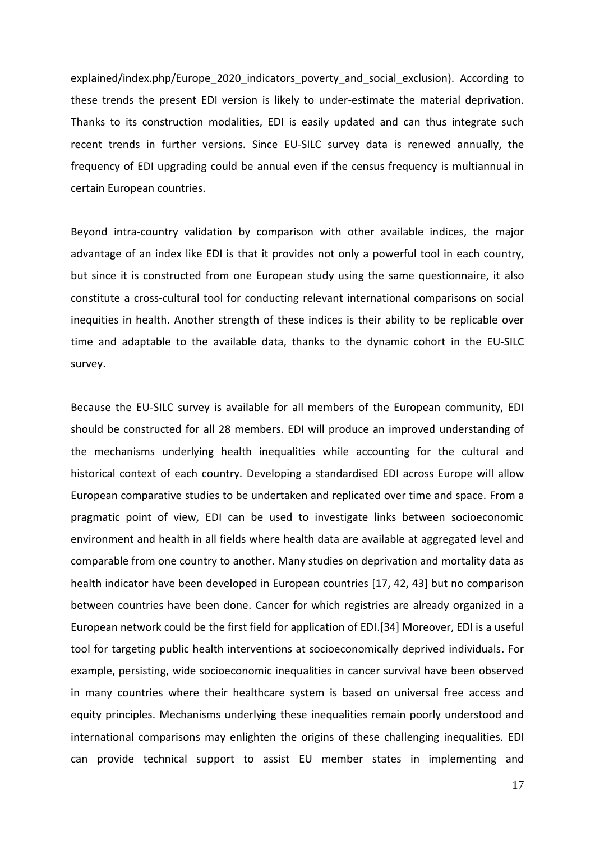explained/index.php/Europe 2020 indicators poverty and social exclusion). According to these trends the present EDI version is likely to under-estimate the material deprivation. Thanks to its construction modalities, EDI is easily updated and can thus integrate such recent trends in further versions. Since EU-SILC survey data is renewed annually, the frequency of EDI upgrading could be annual even if the census frequency is multiannual in certain European countries.

Beyond intra-country validation by comparison with other available indices, the major advantage of an index like EDI is that it provides not only a powerful tool in each country, but since it is constructed from one European study using the same questionnaire, it also constitute a cross-cultural tool for conducting relevant international comparisons on social inequities in health. Another strength of these indices is their ability to be replicable over time and adaptable to the available data, thanks to the dynamic cohort in the EU-SILC survey.

Because the EU-SILC survey is available for all members of the European community, EDI should be constructed for all 28 members. EDI will produce an improved understanding of the mechanisms underlying health inequalities while accounting for the cultural and historical context of each country. Developing a standardised EDI across Europe will allow European comparative studies to be undertaken and replicated over time and space. From a pragmatic point of view, EDI can be used to investigate links between socioeconomic environment and health in all fields where health data are available at aggregated level and comparable from one country to another. Many studies on deprivation and mortality data as health indicator have been developed in European countries [17, 42, 43] but no comparison between countries have been done. Cancer for which registries are already organized in a European network could be the first field for application of EDI.[34] Moreover, EDI is a useful tool for targeting public health interventions at socioeconomically deprived individuals. For example, persisting, wide socioeconomic inequalities in cancer survival have been observed in many countries where their healthcare system is based on universal free access and equity principles. Mechanisms underlying these inequalities remain poorly understood and international comparisons may enlighten the origins of these challenging inequalities. EDI can provide technical support to assist EU member states in implementing and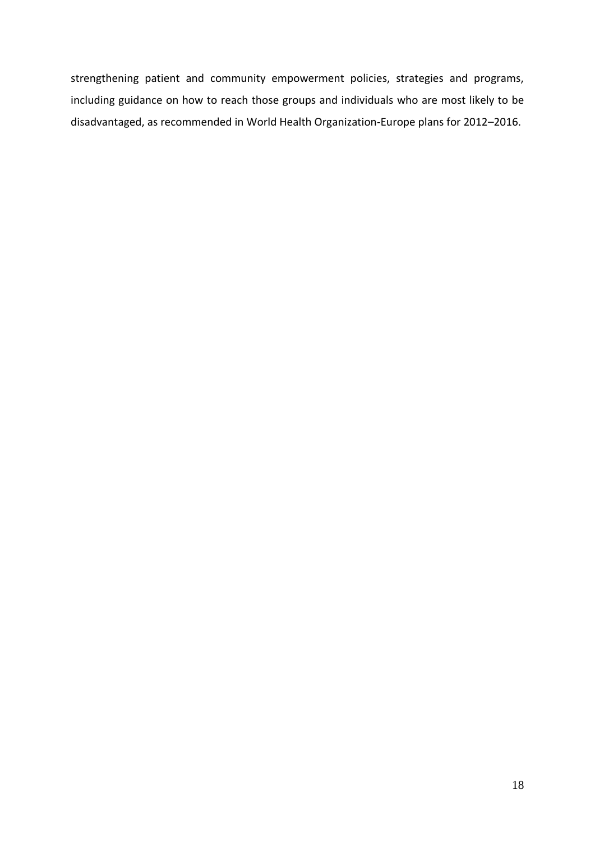strengthening patient and community empowerment policies, strategies and programs, including guidance on how to reach those groups and individuals who are most likely to be disadvantaged, as recommended in World Health Organization-Europe plans for 2012–2016.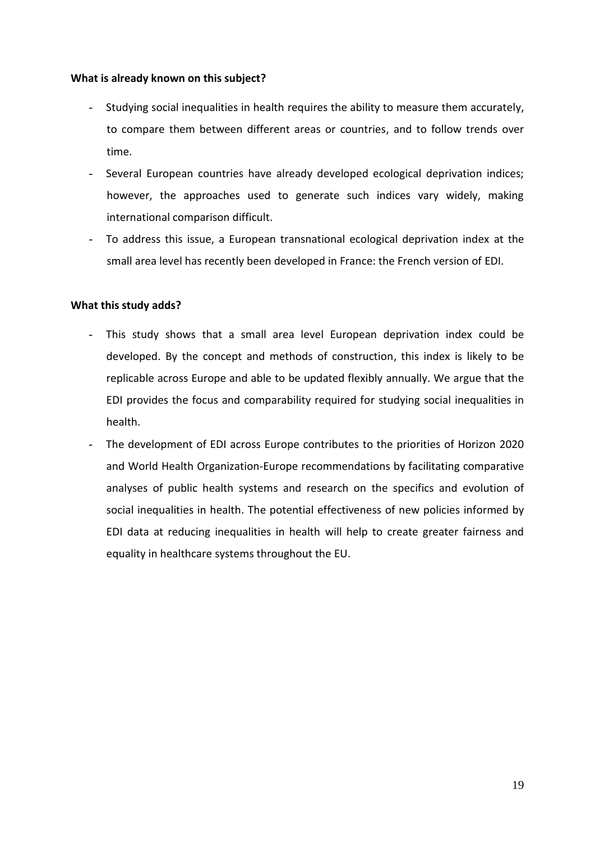## **What is already known on this subject?**

- Studying social inequalities in health requires the ability to measure them accurately, to compare them between different areas or countries, and to follow trends over time.
- Several European countries have already developed ecological deprivation indices; however, the approaches used to generate such indices vary widely, making international comparison difficult.
- To address this issue, a European transnational ecological deprivation index at the small area level has recently been developed in France: the French version of EDI.

## **What this study adds?**

- This study shows that a small area level European deprivation index could be developed. By the concept and methods of construction, this index is likely to be replicable across Europe and able to be updated flexibly annually. We argue that the EDI provides the focus and comparability required for studying social inequalities in health.
- The development of EDI across Europe contributes to the priorities of Horizon 2020 and World Health Organization-Europe recommendations by facilitating comparative analyses of public health systems and research on the specifics and evolution of social inequalities in health. The potential effectiveness of new policies informed by EDI data at reducing inequalities in health will help to create greater fairness and equality in healthcare systems throughout the EU.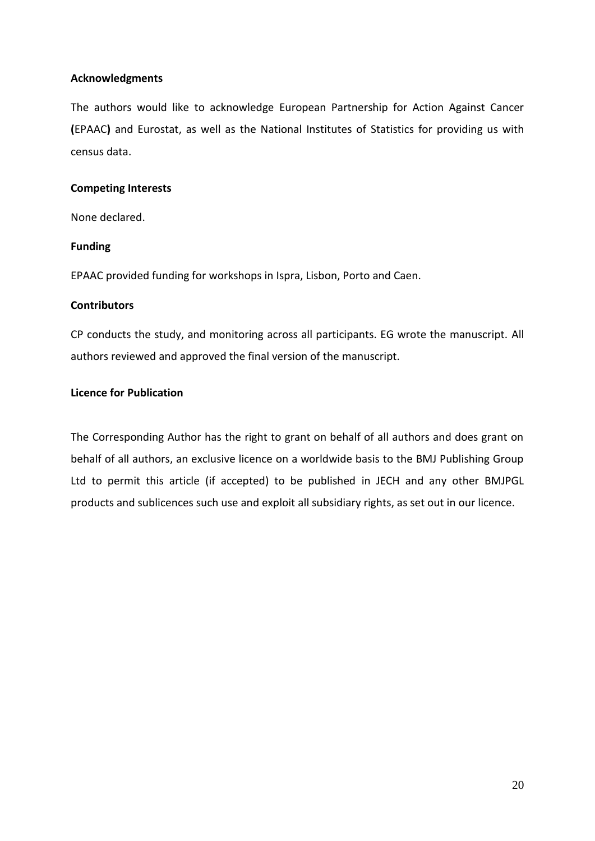## **Acknowledgments**

The authors would like to acknowledge European Partnership for Action Against Cancer **(**EPAAC**)** and Eurostat, as well as the National Institutes of Statistics for providing us with census data.

## **Competing Interests**

None declared.

## **Funding**

EPAAC provided funding for workshops in Ispra, Lisbon, Porto and Caen.

## **Contributors**

CP conducts the study, and monitoring across all participants. EG wrote the manuscript. All authors reviewed and approved the final version of the manuscript.

## **Licence for Publication**

The Corresponding Author has the right to grant on behalf of all authors and does grant on behalf of all authors, an exclusive licence on a worldwide basis to the BMJ Publishing Group Ltd to permit this article (if accepted) to be published in JECH and any other BMJPGL products and sublicences such use and exploit all subsidiary rights, as set out in our licence.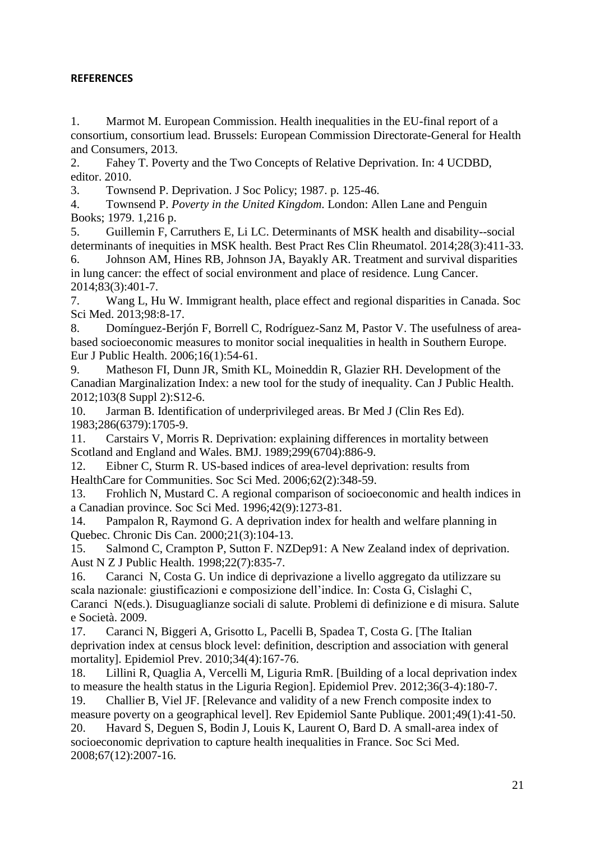## **REFERENCES**

1. Marmot M. European Commission. Health inequalities in the EU-final report of a consortium, consortium lead. Brussels: European Commission Directorate-General for Health and Consumers, 2013.

2. Fahey T. Poverty and the Two Concepts of Relative Deprivation. In: 4 UCDBD, editor. 2010.

3. Townsend P. Deprivation. J Soc Policy; 1987. p. 125-46.

4. Townsend P. *Poverty in the United Kingdom*. London: Allen Lane and Penguin Books; 1979. 1,216 p.

5. Guillemin F, Carruthers E, Li LC. Determinants of MSK health and disability--social determinants of inequities in MSK health. Best Pract Res Clin Rheumatol. 2014;28(3):411-33.

6. Johnson AM, Hines RB, Johnson JA, Bayakly AR. Treatment and survival disparities in lung cancer: the effect of social environment and place of residence. Lung Cancer. 2014;83(3):401-7.

7. Wang L, Hu W. Immigrant health, place effect and regional disparities in Canada. Soc Sci Med. 2013;98:8-17.

8. Domínguez-Berjón F, Borrell C, Rodríguez-Sanz M, Pastor V. The usefulness of areabased socioeconomic measures to monitor social inequalities in health in Southern Europe. Eur J Public Health. 2006;16(1):54-61.

9. Matheson FI, Dunn JR, Smith KL, Moineddin R, Glazier RH. Development of the Canadian Marginalization Index: a new tool for the study of inequality. Can J Public Health. 2012;103(8 Suppl 2):S12-6.

10. Jarman B. Identification of underprivileged areas. Br Med J (Clin Res Ed). 1983;286(6379):1705-9.

11. Carstairs V, Morris R. Deprivation: explaining differences in mortality between Scotland and England and Wales. BMJ. 1989;299(6704):886-9.

12. Eibner C, Sturm R. US-based indices of area-level deprivation: results from HealthCare for Communities. Soc Sci Med. 2006;62(2):348-59.

13. Frohlich N, Mustard C. A regional comparison of socioeconomic and health indices in a Canadian province. Soc Sci Med. 1996;42(9):1273-81.

14. Pampalon R, Raymond G. A deprivation index for health and welfare planning in Quebec. Chronic Dis Can. 2000;21(3):104-13.

15. Salmond C, Crampton P, Sutton F. NZDep91: A New Zealand index of deprivation. Aust N Z J Public Health. 1998;22(7):835-7.

16. Caranci N, Costa G. Un indice di deprivazione a livello aggregato da utilizzare su scala nazionale: giustificazioni e composizione dell'indice. In: Costa G, Cislaghi C, Caranci N(eds.). Disuguaglianze sociali di salute. Problemi di definizione e di misura. Salute e Società. 2009.

17. Caranci N, Biggeri A, Grisotto L, Pacelli B, Spadea T, Costa G. [The Italian deprivation index at census block level: definition, description and association with general mortality]. Epidemiol Prev. 2010;34(4):167-76.

18. Lillini R, Quaglia A, Vercelli M, Liguria RmR. [Building of a local deprivation index to measure the health status in the Liguria Region]. Epidemiol Prev. 2012;36(3-4):180-7.

19. Challier B, Viel JF. [Relevance and validity of a new French composite index to measure poverty on a geographical level]. Rev Epidemiol Sante Publique. 2001;49(1):41-50. 20. Havard S, Deguen S, Bodin J, Louis K, Laurent O, Bard D. A small-area index of

socioeconomic deprivation to capture health inequalities in France. Soc Sci Med. 2008;67(12):2007-16.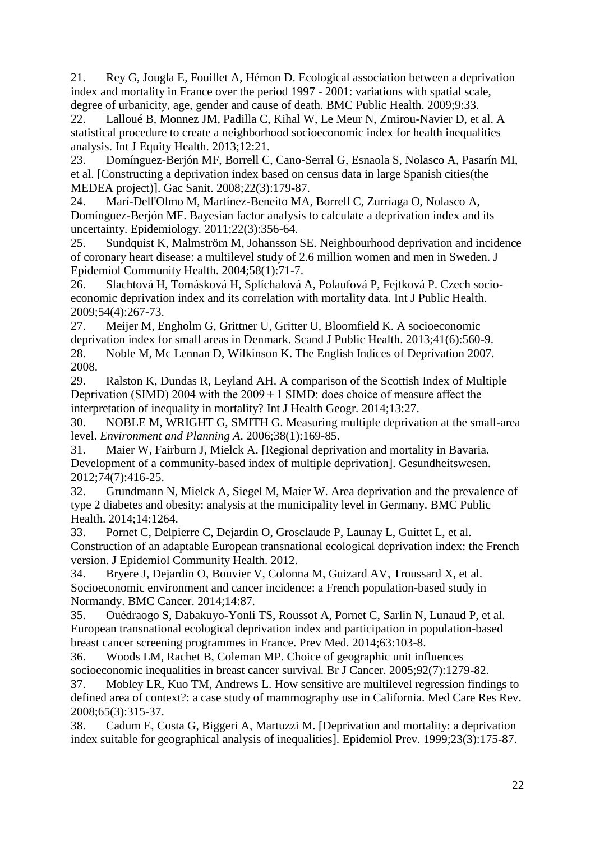21. Rey G, Jougla E, Fouillet A, Hémon D. Ecological association between a deprivation index and mortality in France over the period 1997 - 2001: variations with spatial scale, degree of urbanicity, age, gender and cause of death. BMC Public Health. 2009;9:33.

22. Lalloué B, Monnez JM, Padilla C, Kihal W, Le Meur N, Zmirou-Navier D, et al. A statistical procedure to create a neighborhood socioeconomic index for health inequalities analysis. Int J Equity Health. 2013;12:21.

23. Domínguez-Berjón MF, Borrell C, Cano-Serral G, Esnaola S, Nolasco A, Pasarín MI, et al. [Constructing a deprivation index based on census data in large Spanish cities(the MEDEA project)]. Gac Sanit. 2008;22(3):179-87.

24. Marí-Dell'Olmo M, Martínez-Beneito MA, Borrell C, Zurriaga O, Nolasco A, Domínguez-Berjón MF. Bayesian factor analysis to calculate a deprivation index and its uncertainty. Epidemiology. 2011;22(3):356-64.

25. Sundquist K, Malmström M, Johansson SE. Neighbourhood deprivation and incidence of coronary heart disease: a multilevel study of 2.6 million women and men in Sweden. J Epidemiol Community Health. 2004;58(1):71-7.

26. Slachtová H, Tomásková H, Splíchalová A, Polaufová P, Fejtková P. Czech socioeconomic deprivation index and its correlation with mortality data. Int J Public Health. 2009;54(4):267-73.

27. Meijer M, Engholm G, Grittner U, Gritter U, Bloomfield K. A socioeconomic deprivation index for small areas in Denmark. Scand J Public Health. 2013;41(6):560-9. 28. Noble M, Mc Lennan D, Wilkinson K. The English Indices of Deprivation 2007. 2008.

29. Ralston K, Dundas R, Leyland AH. A comparison of the Scottish Index of Multiple Deprivation (SIMD) 2004 with the  $2009+1$  SIMD: does choice of measure affect the interpretation of inequality in mortality? Int J Health Geogr. 2014;13:27.

30. NOBLE M, WRIGHT G, SMITH G. Measuring multiple deprivation at the small-area level. *Environment and Planning A*. 2006;38(1):169-85.

31. Maier W, Fairburn J, Mielck A. [Regional deprivation and mortality in Bavaria. Development of a community-based index of multiple deprivation]. Gesundheitswesen. 2012;74(7):416-25.

32. Grundmann N, Mielck A, Siegel M, Maier W. Area deprivation and the prevalence of type 2 diabetes and obesity: analysis at the municipality level in Germany. BMC Public Health. 2014;14:1264.

33. Pornet C, Delpierre C, Dejardin O, Grosclaude P, Launay L, Guittet L, et al. Construction of an adaptable European transnational ecological deprivation index: the French version. J Epidemiol Community Health. 2012.

34. Bryere J, Dejardin O, Bouvier V, Colonna M, Guizard AV, Troussard X, et al. Socioeconomic environment and cancer incidence: a French population-based study in Normandy. BMC Cancer. 2014;14:87.

35. Ouédraogo S, Dabakuyo-Yonli TS, Roussot A, Pornet C, Sarlin N, Lunaud P, et al. European transnational ecological deprivation index and participation in population-based breast cancer screening programmes in France. Prev Med. 2014;63:103-8.

36. Woods LM, Rachet B, Coleman MP. Choice of geographic unit influences socioeconomic inequalities in breast cancer survival. Br J Cancer. 2005;92(7):1279-82.

37. Mobley LR, Kuo TM, Andrews L. How sensitive are multilevel regression findings to defined area of context?: a case study of mammography use in California. Med Care Res Rev. 2008;65(3):315-37.

38. Cadum E, Costa G, Biggeri A, Martuzzi M. [Deprivation and mortality: a deprivation index suitable for geographical analysis of inequalities]. Epidemiol Prev. 1999;23(3):175-87.